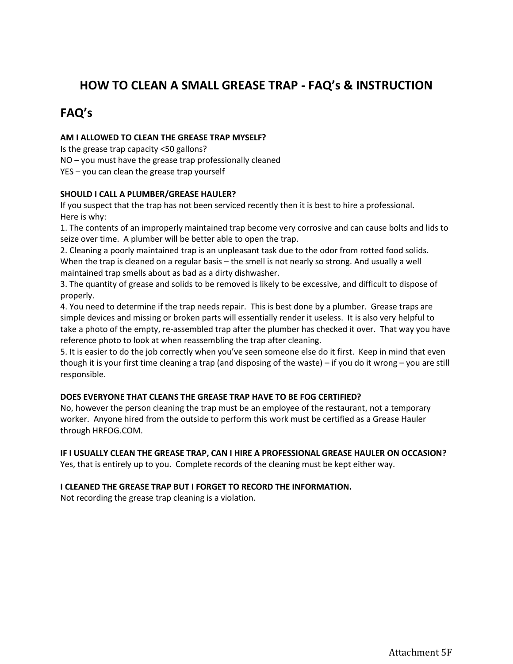## **HOW TO CLEAN A SMALL GREASE TRAP - FAQ's & INSTRUCTION**

# **FAQ's**

### **AM I ALLOWED TO CLEAN THE GREASE TRAP MYSELF?**

Is the grease trap capacity <50 gallons?

NO – you must have the grease trap professionally cleaned

YES – you can clean the grease trap yourself

### **SHOULD I CALL A PLUMBER/GREASE HAULER?**

If you suspect that the trap has not been serviced recently then it is best to hire a professional. Here is why:

1. The contents of an improperly maintained trap become very corrosive and can cause bolts and lids to seize over time. A plumber will be better able to open the trap.

2. Cleaning a poorly maintained trap is an unpleasant task due to the odor from rotted food solids. When the trap is cleaned on a regular basis – the smell is not nearly so strong. And usually a well maintained trap smells about as bad as a dirty dishwasher.

3. The quantity of grease and solids to be removed is likely to be excessive, and difficult to dispose of properly.

4. You need to determine if the trap needs repair. This is best done by a plumber. Grease traps are simple devices and missing or broken parts will essentially render it useless. It is also very helpful to take a photo of the empty, re-assembled trap after the plumber has checked it over. That way you have reference photo to look at when reassembling the trap after cleaning.

5. It is easier to do the job correctly when you've seen someone else do it first. Keep in mind that even though it is your first time cleaning a trap (and disposing of the waste) – if you do it wrong – you are still responsible.

#### **DOES EVERYONE THAT CLEANS THE GREASE TRAP HAVE TO BE FOG CERTIFIED?**

No, however the person cleaning the trap must be an employee of the restaurant, not a temporary worker. Anyone hired from the outside to perform this work must be certified as a Grease Hauler through HRFOG.COM.

#### **IF I USUALLY CLEAN THE GREASE TRAP, CAN I HIRE A PROFESSIONAL GREASE HAULER ON OCCASION?**

Yes, that is entirely up to you. Complete records of the cleaning must be kept either way.

#### **I CLEANED THE GREASE TRAP BUT I FORGET TO RECORD THE INFORMATION.**

Not recording the grease trap cleaning is a violation.